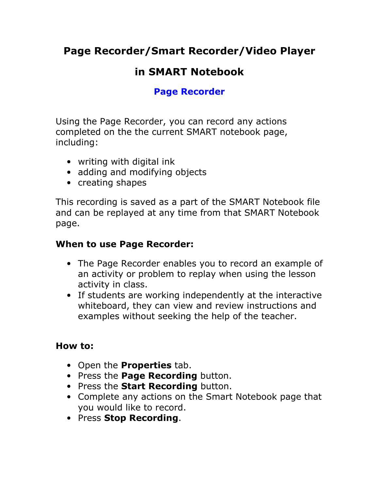Page Recorder/Smart Recorder/Video Player

# in SMART Notebook

# Page Recorder

Using the Page Recorder, you can record any actions completed on the the current SMART notebook page, including:

- writing with digital ink
- adding and modifying objects
- creating shapes

This recording is saved as a part of the SMART Notebook file and can be replayed at any time from that SMART Notebook page.

## When to use Page Recorder:

- The Page Recorder enables you to record an example of an activity or problem to replay when using the lesson activity in class.
- If students are working independently at the interactive whiteboard, they can view and review instructions and examples without seeking the help of the teacher.

### How to:

- Open the **Properties** tab.
- Press the Page Recording button.
- Press the **Start Recording** button.
- Complete any actions on the Smart Notebook page that you would like to record.
- Press Stop Recording.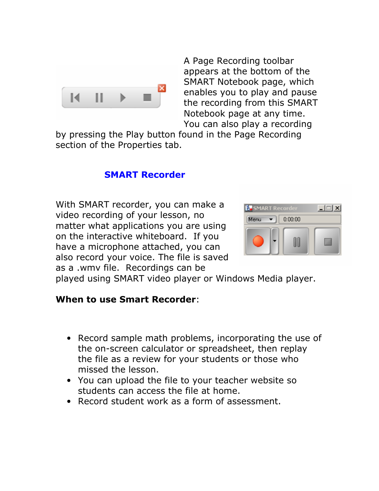

A Page Recording toolbar appears at the bottom of the SMART Notebook page, which enables you to play and pause the recording from this SMART Notebook page at any time. You can also play a recording

by pressing the Play button found in the Page Recording section of the Properties tab.

#### SMART Recorder

With SMART recorder, you can make a video recording of your lesson, no matter what applications you are using on the interactive whiteboard. If you have a microphone attached, you can also record your voice. The file is saved as a .wmv file. Recordings can be



played using SMART video player or Windows Media player.

#### When to use Smart Recorder:

- Record sample math problems, incorporating the use of the on-screen calculator or spreadsheet, then replay the file as a review for your students or those who missed the lesson.
- You can upload the file to your teacher website so students can access the file at home.
- Record student work as a form of assessment.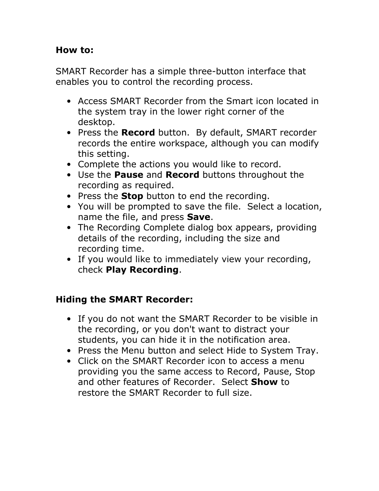#### How to:

SMART Recorder has a simple three-button interface that enables you to control the recording process.

- Access SMART Recorder from the Smart icon located in the system tray in the lower right corner of the desktop.
- Press the Record button. By default, SMART recorder records the entire workspace, although you can modify this setting.
- Complete the actions you would like to record.
- Use the Pause and Record buttons throughout the recording as required.
- Press the **Stop** button to end the recording.
- You will be prompted to save the file. Select a location, name the file, and press Save.
- The Recording Complete dialog box appears, providing details of the recording, including the size and recording time.
- If you would like to immediately view your recording, check Play Recording.

### Hiding the SMART Recorder:

- If you do not want the SMART Recorder to be visible in the recording, or you don't want to distract your students, you can hide it in the notification area.
- Press the Menu button and select Hide to System Tray.
- Click on the SMART Recorder icon to access a menu providing you the same access to Record, Pause, Stop and other features of Recorder. Select **Show** to restore the SMART Recorder to full size.